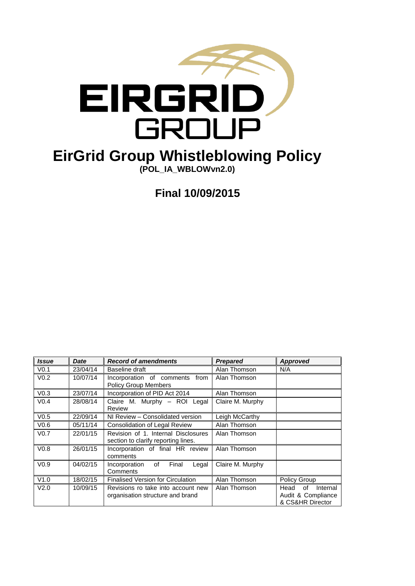

# **EirGrid Group Whistleblowing Policy**

**(POL\_IA\_WBLOWvn2.0)**

**Final 10/09/2015**

| <b>Issue</b>     | Date     | <b>Record of amendments</b>                                                | <b>Prepared</b>  | Approved                                                         |
|------------------|----------|----------------------------------------------------------------------------|------------------|------------------------------------------------------------------|
| V <sub>0.1</sub> | 23/04/14 | Baseline draft                                                             | Alan Thomson     | N/A                                                              |
| V <sub>0.2</sub> | 10/07/14 | Incorporation of comments from<br><b>Policy Group Members</b>              | Alan Thomson     |                                                                  |
| V <sub>0.3</sub> | 23/07/14 | Incorporation of PID Act 2014                                              | Alan Thomson     |                                                                  |
| V <sub>0.4</sub> | 28/08/14 | Claire M. Murphy - ROI Legal<br>Review                                     | Claire M. Murphy |                                                                  |
| V <sub>0.5</sub> | 22/09/14 | NI Review - Consolidated version                                           | Leigh McCarthy   |                                                                  |
| V <sub>0.6</sub> | 05/11/14 | <b>Consolidation of Legal Review</b>                                       | Alan Thomson     |                                                                  |
| V <sub>0.7</sub> | 22/01/15 | Revision of 1. Internal Disclosures<br>section to clarify reporting lines. | Alan Thomson     |                                                                  |
| V <sub>0.8</sub> | 26/01/15 | Incorporation of final HR review<br>comments                               | Alan Thomson     |                                                                  |
| V <sub>0.9</sub> | 04/02/15 | Final<br>of<br>Legal<br>Incorporation<br>Comments                          | Claire M. Murphy |                                                                  |
| V1.0             | 18/02/15 | <b>Finalised Version for Circulation</b>                                   | Alan Thomson     | Policy Group                                                     |
| V <sub>2.0</sub> | 10/09/15 | Revisions ro take into account new<br>organisation structure and brand     | Alan Thomson     | Internal<br>Head<br>of<br>Audit & Compliance<br>& CS&HR Director |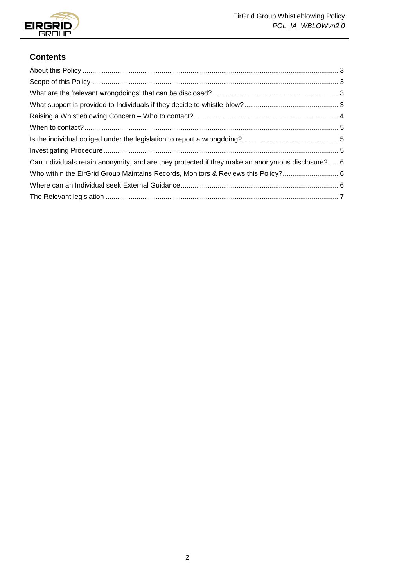

## **Contents**

| Can individuals retain anonymity, and are they protected if they make an anonymous disclosure?  6 |  |
|---------------------------------------------------------------------------------------------------|--|
| Who within the EirGrid Group Maintains Records, Monitors & Reviews this Policy? 6                 |  |
|                                                                                                   |  |
|                                                                                                   |  |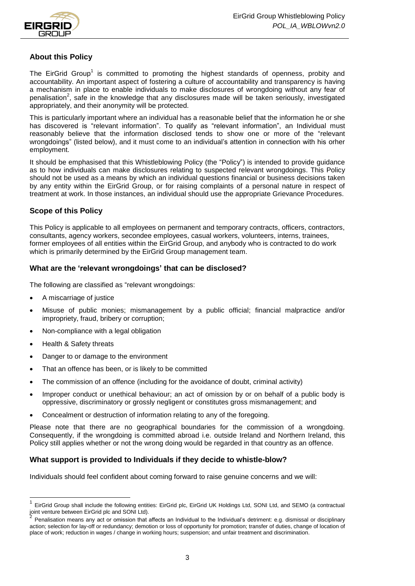

## <span id="page-2-0"></span>**About this Policy**

The EirGrid Group<sup>1</sup> is committed to promoting the highest standards of openness, probity and accountability. An important aspect of fostering a culture of accountability and transparency is having a mechanism in place to enable individuals to make disclosures of wrongdoing without any fear of penalisation<sup>2</sup>, safe in the knowledge that any disclosures made will be taken seriously, investigated appropriately, and their anonymity will be protected.

This is particularly important where an individual has a reasonable belief that the information he or she has discovered is "relevant information". To qualify as "relevant information", an Individual must reasonably believe that the information disclosed tends to show one or more of the "relevant wrongdoings" (listed below), and it must come to an individual's attention in connection with his orher employment.

It should be emphasised that this Whistleblowing Policy (the "Policy") is intended to provide guidance as to how individuals can make disclosures relating to suspected relevant wrongdoings. This Policy should not be used as a means by which an individual questions financial or business decisions taken by any entity within the EirGrid Group, or for raising complaints of a personal nature in respect of treatment at work. In those instances, an individual should use the appropriate Grievance Procedures.

## <span id="page-2-1"></span>**Scope of this Policy**

This Policy is applicable to all employees on permanent and temporary contracts, officers, contractors, consultants, agency workers, secondee employees, casual workers, volunteers, interns, trainees, former employees of all entities within the EirGrid Group, and anybody who is contracted to do work which is primarily determined by the EirGrid Group management team.

## <span id="page-2-2"></span>**What are the 'relevant wrongdoings' that can be disclosed?**

The following are classified as "relevant wrongdoings:

- A miscarriage of justice
- Misuse of public monies; mismanagement by a public official; financial malpractice and/or impropriety, fraud, bribery or corruption;
- Non-compliance with a legal obligation
- Health & Safety threats

 $\overline{\phantom{a}}$ 

- Danger to or damage to the environment
- That an offence has been, or is likely to be committed
- The commission of an offence (including for the avoidance of doubt, criminal activity)
- Improper conduct or unethical behaviour; an act of omission by or on behalf of a public body is oppressive, discriminatory or grossly negligent or constitutes gross mismanagement; and
- Concealment or destruction of information relating to any of the foregoing.

Please note that there are no geographical boundaries for the commission of a wrongdoing. Consequently, if the wrongdoing is committed abroad i.e. outside Ireland and Northern Ireland, this Policy still applies whether or not the wrong doing would be regarded in that country as an offence.

## <span id="page-2-3"></span>**What support is provided to Individuals if they decide to whistle-blow?**

Individuals should feel confident about coming forward to raise genuine concerns and we will:

<sup>1</sup> EirGrid Group shall include the following entities: EirGrid plc, EirGrid UK Holdings Ltd, SONI Ltd, and SEMO (a contractual joint venture between EirGrid plc and SONI Ltd). 2

Penalisation means any act or omission that affects an Individual to the Individual's detriment: e.g. dismissal or disciplinary action; selection for lay-off or redundancy; demotion or loss of opportunity for promotion; transfer of duties, change of location of place of work; reduction in wages / change in working hours; suspension; and unfair treatment and discrimination.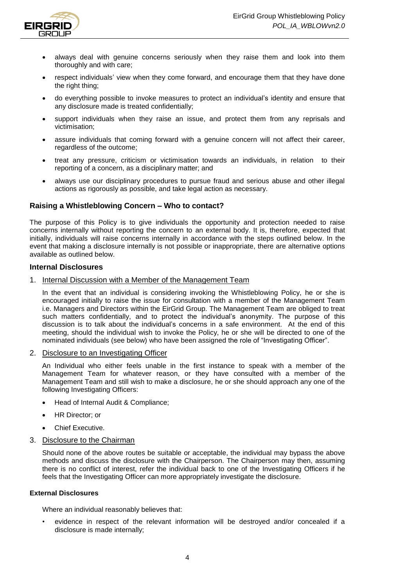

- always deal with genuine concerns seriously when they raise them and look into them thoroughly and with care;
- respect individuals' view when they come forward, and encourage them that they have done the right thing;
- do everything possible to invoke measures to protect an individual's identity and ensure that any disclosure made is treated confidentially;
- support individuals when they raise an issue, and protect them from any reprisals and victimisation;
- assure individuals that coming forward with a genuine concern will not affect their career, regardless of the outcome;
- treat any pressure, criticism or victimisation towards an individuals, in relation to their reporting of a concern, as a disciplinary matter; and
- always use our disciplinary procedures to pursue fraud and serious abuse and other illegal actions as rigorously as possible, and take legal action as necessary.

## <span id="page-3-0"></span>**Raising a Whistleblowing Concern – Who to contact?**

The purpose of this Policy is to give individuals the opportunity and protection needed to raise concerns internally without reporting the concern to an external body. It is, therefore, expected that initially, individuals will raise concerns internally in accordance with the steps outlined below. In the event that making a disclosure internally is not possible or inappropriate, there are alternative options available as outlined below.

#### **Internal Disclosures**

1. Internal Discussion with a Member of the Management Team

In the event that an individual is considering invoking the Whistleblowing Policy, he or she is encouraged initially to raise the issue for consultation with a member of the Management Team i.e. Managers and Directors within the EirGrid Group. The Management Team are obliged to treat such matters confidentially, and to protect the individual's anonymity. The purpose of this discussion is to talk about the individual's concerns in a safe environment. At the end of this meeting, should the individual wish to invoke the Policy, he or she will be directed to one of the nominated individuals (see below) who have been assigned the role of "Investigating Officer".

2. Disclosure to an Investigating Officer

An Individual who either feels unable in the first instance to speak with a member of the Management Team for whatever reason, or they have consulted with a member of the Management Team and still wish to make a disclosure, he or she should approach any one of the following Investigating Officers:

- Head of Internal Audit & Compliance;
- HR Director; or
- Chief Executive.

#### 3. Disclosure to the Chairman

Should none of the above routes be suitable or acceptable, the individual may bypass the above methods and discuss the disclosure with the Chairperson. The Chairperson may then, assuming there is no conflict of interest, refer the individual back to one of the Investigating Officers if he feels that the Investigating Officer can more appropriately investigate the disclosure.

#### **External Disclosures**

Where an individual reasonably believes that:

• evidence in respect of the relevant information will be destroyed and/or concealed if a disclosure is made internally;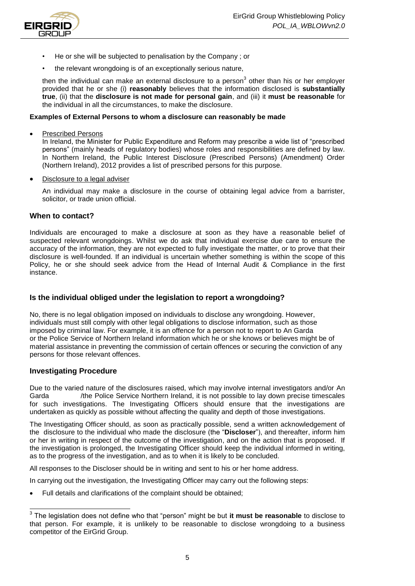

- He or she will be subjected to penalisation by the Company ; or
- the relevant wrongdoing is of an exceptionally serious nature,

then the individual can make an external disclosure to a person $3$  other than his or her employer provided that he or she (i) **reasonably** believes that the information disclosed is **substantially true**, (ii) that the **disclosure is not made for personal gain**, and (iii) it **must be reasonable** for the individual in all the circumstances, to make the disclosure.

#### **Examples of External Persons to whom a disclosure can reasonably be made**

Prescribed Persons

In Ireland, the Minister for Public Expenditure and Reform may prescribe a wide list of "prescribed persons" (mainly heads of regulatory bodies) whose roles and responsibilities are defined by law. In Northern Ireland, the Public Interest Disclosure (Prescribed Persons) (Amendment) Order (Northern Ireland), 2012 provides a list of prescribed persons for this purpose.

Disclosure to a legal adviser

An individual may make a disclosure in the course of obtaining legal advice from a barrister, solicitor, or trade union official.

#### <span id="page-4-0"></span>**When to contact?**

Individuals are encouraged to make a disclosure at soon as they have a reasonable belief of suspected relevant wrongdoings. Whilst we do ask that individual exercise due care to ensure the accuracy of the information, they are not expected to fully investigate the matter, or to prove that their disclosure is well-founded. If an individual is uncertain whether something is within the scope of this Policy, he or she should seek advice from the Head of Internal Audit & Compliance in the first instance.

#### <span id="page-4-1"></span>**Is the individual obliged under the legislation to report a wrongdoing?**

No, there is no legal obligation imposed on individuals to disclose any wrongdoing. However, individuals must still comply with other legal obligations to disclose information, such as those imposed by criminal law. For example, it is an offence for a person not to report to An Garda or the Police Service of Northern Ireland information which he or she knows or believes might be of material assistance in preventing the commission of certain offences or securing the conviction of any persons for those relevant offences.

#### <span id="page-4-2"></span>**Investigating Procedure**

Due to the varied nature of the disclosures raised, which may involve internal investigators and/or An Garda **Subset Arms / The Police Service Northern Ireland, it is not possible to lay down precise timescales** for such investigations. The Investigating Officers should ensure that the investigations are undertaken as quickly as possible without affecting the quality and depth of those investigations.

The Investigating Officer should, as soon as practically possible, send a written acknowledgement of the disclosure to the individual who made the disclosure (the "**Discloser**"), and thereafter, inform him or her in writing in respect of the outcome of the investigation, and on the action that is proposed. If the investigation is prolonged, the Investigating Officer should keep the individual informed in writing, as to the progress of the investigation, and as to when it is likely to be concluded.

All responses to the Discloser should be in writing and sent to his or her home address.

In carrying out the investigation, the Investigating Officer may carry out the following steps:

Full details and clarifications of the complaint should be obtained;

 3 The legislation does not define who that "person" might be but **it must be reasonable** to disclose to that person. For example, it is unlikely to be reasonable to disclose wrongdoing to a business competitor of the EirGrid Group.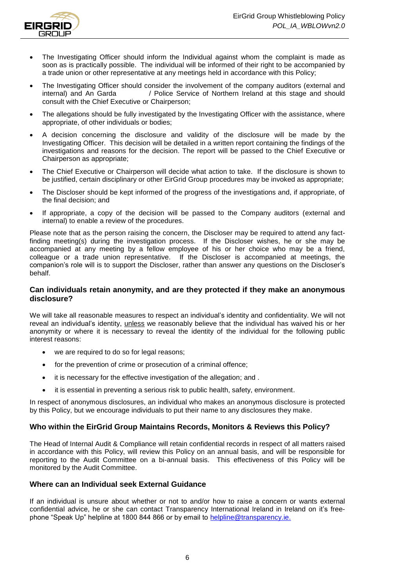

- The Investigating Officer should inform the Individual against whom the complaint is made as soon as is practically possible. The individual will be informed of their right to be accompanied by a trade union or other representative at any meetings held in accordance with this Policy;
- The Investigating Officer should consider the involvement of the company auditors (external and internal) and An Garda **Since Service of Northern Ireland at this stage and should** consult with the Chief Executive or Chairperson;
- The allegations should be fully investigated by the Investigating Officer with the assistance, where appropriate, of other individuals or bodies;
- A decision concerning the disclosure and validity of the disclosure will be made by the Investigating Officer. This decision will be detailed in a written report containing the findings of the investigations and reasons for the decision. The report will be passed to the Chief Executive or Chairperson as appropriate;
- The Chief Executive or Chairperson will decide what action to take. If the disclosure is shown to be justified, certain disciplinary or other EirGrid Group procedures may be invoked as appropriate;
- The Discloser should be kept informed of the progress of the investigations and, if appropriate, of the final decision; and
- If appropriate, a copy of the decision will be passed to the Company auditors (external and internal) to enable a review of the procedures.

Please note that as the person raising the concern, the Discloser may be required to attend any factfinding meeting(s) during the investigation process. If the Discloser wishes, he or she may be accompanied at any meeting by a fellow employee of his or her choice who may be a friend, colleague or a trade union representative. If the Discloser is accompanied at meetings, the companion's role will is to support the Discloser, rather than answer any questions on the Discloser's behalf.

## <span id="page-5-0"></span>**Can individuals retain anonymity, and are they protected if they make an anonymous disclosure?**

We will take all reasonable measures to respect an individual's identity and confidentiality. We will not reveal an individual's identity, unless we reasonably believe that the individual has waived his or her anonymity or where it is necessary to reveal the identity of the individual for the following public interest reasons:

- we are required to do so for legal reasons:
- for the prevention of crime or prosecution of a criminal offence;
- it is necessary for the effective investigation of the allegation; and .
- it is essential in preventing a serious risk to public health, safety, environment.

In respect of anonymous disclosures, an individual who makes an anonymous disclosure is protected by this Policy, but we encourage individuals to put their name to any disclosures they make.

## <span id="page-5-1"></span>**Who within the EirGrid Group Maintains Records, Monitors & Reviews this Policy?**

The Head of Internal Audit & Compliance will retain confidential records in respect of all matters raised in accordance with this Policy, will review this Policy on an annual basis, and will be responsible for reporting to the Audit Committee on a bi-annual basis. This effectiveness of this Policy will be monitored by the Audit Committee.

#### <span id="page-5-2"></span>**Where can an Individual seek External Guidance**

If an individual is unsure about whether or not to and/or how to raise a concern or wants external confidential advice, he or she can contact Transparency International Ireland in Ireland on it's freephone "Speak Up" helpline at 1800 844 866 or by email to [helpline@transparency.ie.](mailto:helpline@transparency.ie)